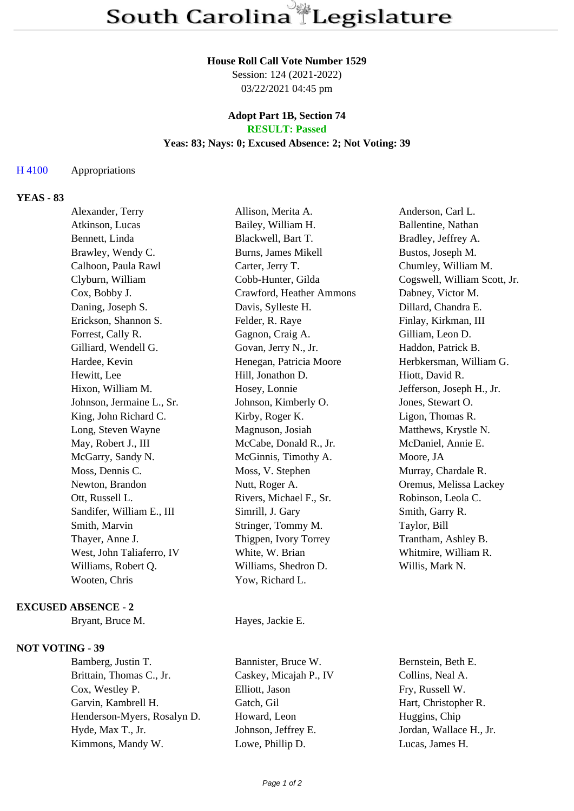#### **House Roll Call Vote Number 1529**

Session: 124 (2021-2022) 03/22/2021 04:45 pm

#### **Adopt Part 1B, Section 74 RESULT: Passed**

### **Yeas: 83; Nays: 0; Excused Absence: 2; Not Voting: 39**

#### H 4100 Appropriations

# **YEAS - 83**

| Alexander, Terry          | Allison, Merita A.       | Anderson, Carl L.            |
|---------------------------|--------------------------|------------------------------|
| Atkinson, Lucas           | Bailey, William H.       | Ballentine, Nathan           |
| Bennett, Linda            | Blackwell, Bart T.       | Bradley, Jeffrey A.          |
| Brawley, Wendy C.         | Burns, James Mikell      | Bustos, Joseph M.            |
| Calhoon, Paula Rawl       | Carter, Jerry T.         | Chumley, William M.          |
| Clyburn, William          | Cobb-Hunter, Gilda       | Cogswell, William Scott, Jr. |
| Cox, Bobby J.             | Crawford, Heather Ammons | Dabney, Victor M.            |
| Daning, Joseph S.         | Davis, Sylleste H.       | Dillard, Chandra E.          |
| Erickson, Shannon S.      | Felder, R. Raye          | Finlay, Kirkman, III         |
| Forrest, Cally R.         | Gagnon, Craig A.         | Gilliam, Leon D.             |
| Gilliard, Wendell G.      | Govan, Jerry N., Jr.     | Haddon, Patrick B.           |
| Hardee, Kevin             | Henegan, Patricia Moore  | Herbkersman, William G.      |
| Hewitt, Lee               | Hill, Jonathon D.        | Hiott, David R.              |
| Hixon, William M.         | Hosey, Lonnie            | Jefferson, Joseph H., Jr.    |
| Johnson, Jermaine L., Sr. | Johnson, Kimberly O.     | Jones, Stewart O.            |
| King, John Richard C.     | Kirby, Roger K.          | Ligon, Thomas R.             |
| Long, Steven Wayne        | Magnuson, Josiah         | Matthews, Krystle N.         |
| May, Robert J., III       | McCabe, Donald R., Jr.   | McDaniel, Annie E.           |
| McGarry, Sandy N.         | McGinnis, Timothy A.     | Moore, JA                    |
| Moss, Dennis C.           | Moss, V. Stephen         | Murray, Chardale R.          |
| Newton, Brandon           | Nutt, Roger A.           | Oremus, Melissa Lackey       |
| Ott, Russell L.           | Rivers, Michael F., Sr.  | Robinson, Leola C.           |
| Sandifer, William E., III | Simrill, J. Gary         | Smith, Garry R.              |
| Smith, Marvin             | Stringer, Tommy M.       | Taylor, Bill                 |
| Thayer, Anne J.           | Thigpen, Ivory Torrey    | Trantham, Ashley B.          |
| West, John Taliaferro, IV | White, W. Brian          | Whitmire, William R.         |
| Williams, Robert Q.       | Williams, Shedron D.     | Willis, Mark N.              |
| Wooten, Chris             | Yow, Richard L.          |                              |
|                           |                          |                              |

## **EXCUSED ABSENCE - 2**

Bryant, Bruce M. Hayes, Jackie E.

### **NOT VOTING - 39**

Bamberg, Justin T. Bannister, Bruce W. Bernstein, Beth E. Brittain, Thomas C., Jr. Caskey, Micajah P., IV Collins, Neal A. Cox, Westley P. Elliott, Jason Fry, Russell W. Garvin, Kambrell H. Gatch, Gil Hart, Christopher R. Henderson-Myers, Rosalyn D. Howard, Leon Huggins, Chip Hyde, Max T., Jr. Johnson, Jeffrey E. Jordan, Wallace H., Jr. Kimmons, Mandy W. Lowe, Phillip D. Lucas, James H.